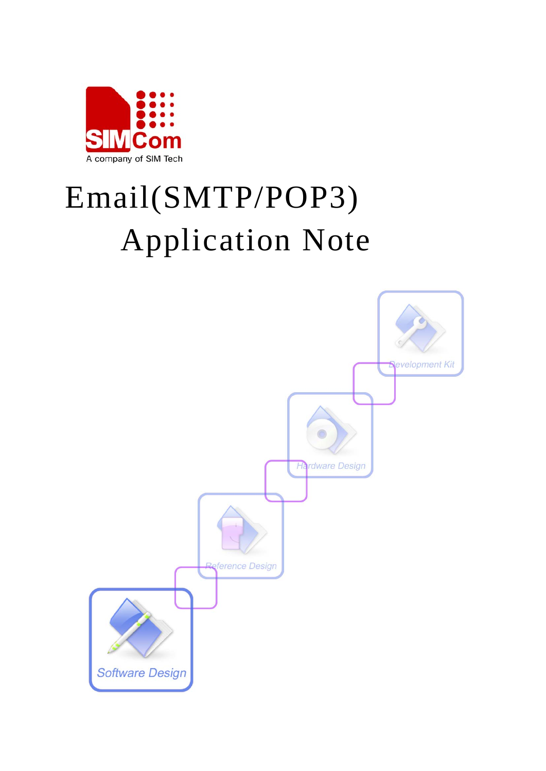

# Email(SMTP/POP3) Application Note

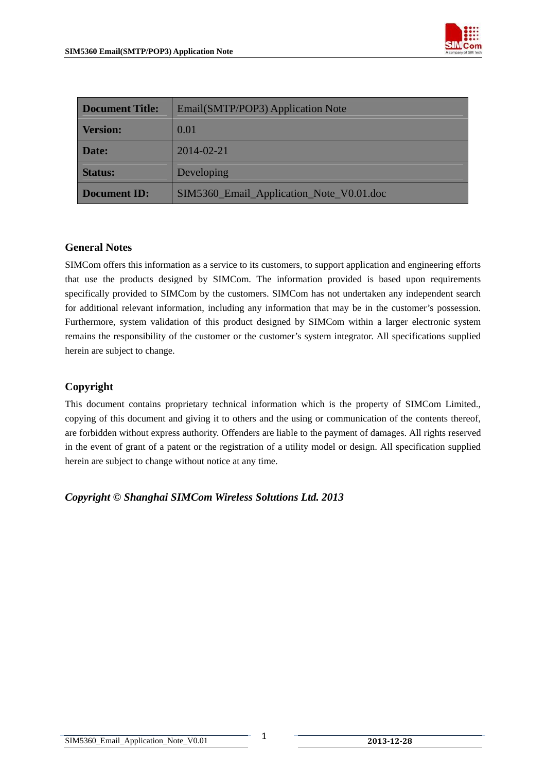

| <b>Document Title:</b> | Email(SMTP/POP3) Application Note        |  |
|------------------------|------------------------------------------|--|
| <b>Version:</b>        | 0.01                                     |  |
| Date:                  | 2014-02-21                               |  |
| <b>Status:</b>         | Developing                               |  |
| <b>Document ID:</b>    | SIM5360_Email_Application_Note_V0.01.doc |  |

#### **General Notes**

SIMCom offers this information as a service to its customers, to support application and engineering efforts that use the products designed by SIMCom. The information provided is based upon requirements specifically provided to SIMCom by the customers. SIMCom has not undertaken any independent search for additional relevant information, including any information that may be in the customer's possession. Furthermore, system validation of this product designed by SIMCom within a larger electronic system remains the responsibility of the customer or the customer's system integrator. All specifications supplied herein are subject to change.

#### **Copyright**

This document contains proprietary technical information which is the property of SIMCom Limited., copying of this document and giving it to others and the using or communication of the contents thereof, are forbidden without express authority. Offenders are liable to the payment of damages. All rights reserved in the event of grant of a patent or the registration of a utility model or design. All specification supplied herein are subject to change without notice at any time.

*Copyright © Shanghai SIMCom Wireless Solutions Ltd. 2013*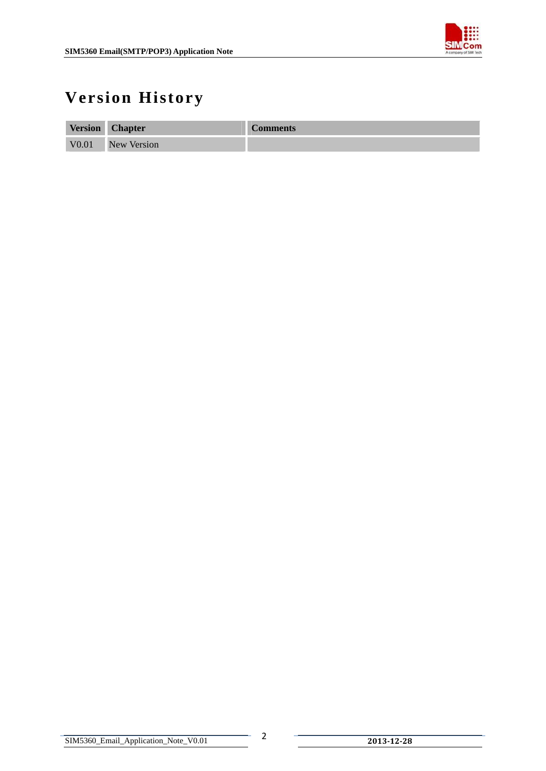

# <span id="page-2-0"></span>**Version History**

| <b>Version</b>    | <b>Chapter</b>     | <b>Comments</b> |
|-------------------|--------------------|-----------------|
| V <sub>0.01</sub> | <b>New Version</b> |                 |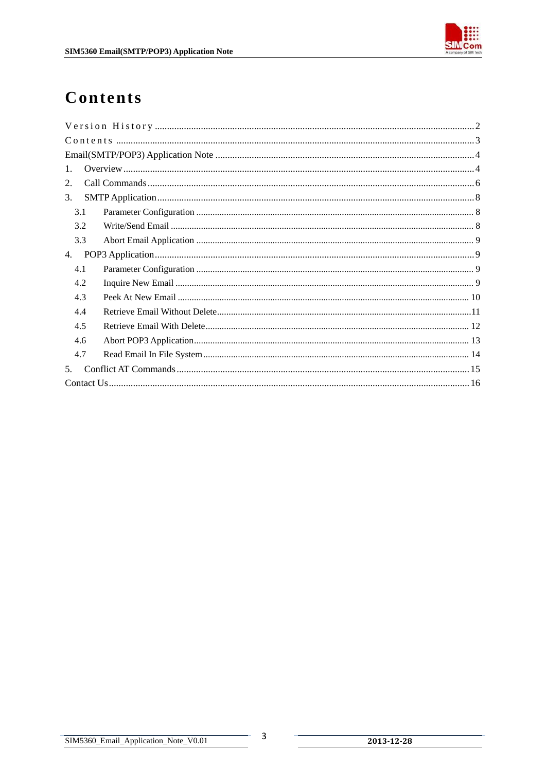

# <span id="page-3-0"></span>Contents

| $\mathbf{1}$ . |  |
|----------------|--|
| 2.             |  |
| 3.             |  |
| 3.1            |  |
| 3.2            |  |
| 3.3            |  |
| 4.             |  |
| 4.1            |  |
| 4.2            |  |
| 4.3            |  |
| 4.4            |  |
| 4.5            |  |
| 4.6            |  |
| 4.7            |  |
| 5.             |  |
|                |  |

 $\overline{3}$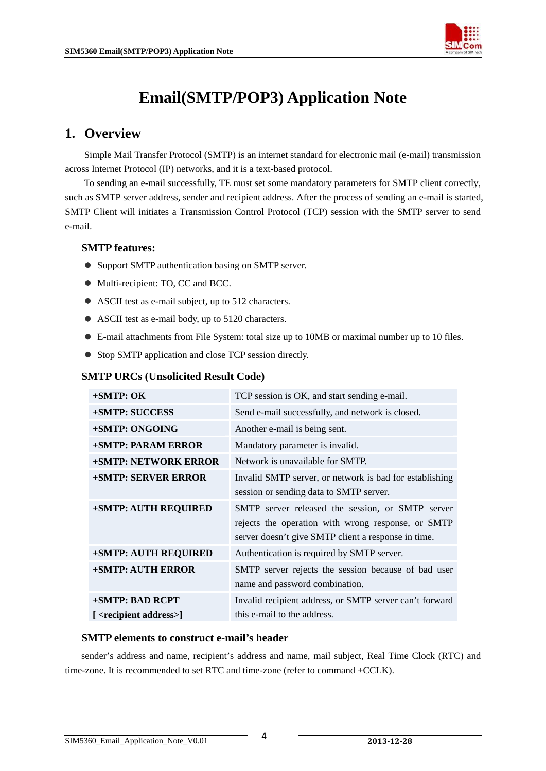

# **Email(SMTP/POP3) Application Note**

# <span id="page-4-0"></span>**1. Overview**

Simple Mail Transfer Protocol (SMTP) is an internet standard for electronic mail (e-mail) transmission across Internet Protocol (IP) networks, and it is a text-based protocol.

To sending an e-mail successfully, TE must set some mandatory parameters for SMTP client correctly, such as SMTP server address, sender and recipient address. After the process of sending an e-mail is started, SMTP Client will initiates a Transmission Control Protocol (TCP) session with the SMTP server to send e-mail.

#### **SMTP features:**

- Support SMTP authentication basing on SMTP server.
- $\bullet$  Multi-recipient: TO, CC and BCC.
- $\bullet$  ASCII test as e-mail subject, up to 512 characters.
- $\bullet$  ASCII test as e-mail body, up to 5120 characters.
- E-mail attachments from File System: total size up to 10MB or maximal number up to 10 files.
- Stop SMTP application and close TCP session directly.

#### **SMTP URCs (Unsolicited Result Code)**

| $+$ SMTP: OK                          | TCP session is OK, and start sending e-mail.            |  |
|---------------------------------------|---------------------------------------------------------|--|
| <b>+SMTP: SUCCESS</b>                 | Send e-mail successfully, and network is closed.        |  |
| +SMTP: ONGOING                        | Another e-mail is being sent.                           |  |
| <b>+SMTP: PARAM ERROR</b>             | Mandatory parameter is invalid.                         |  |
| <b>+SMTP: NETWORK ERROR</b>           | Network is unavailable for SMTP.                        |  |
| <b>+SMTP: SERVER ERROR</b>            | Invalid SMTP server, or network is bad for establishing |  |
|                                       | session or sending data to SMTP server.                 |  |
| <b>+SMTP: AUTH REQUIRED</b>           | SMTP server released the session, or SMTP server        |  |
|                                       | rejects the operation with wrong response, or SMTP      |  |
|                                       | server doesn't give SMTP client a response in time.     |  |
| <b>+SMTP: AUTH REQUIRED</b>           | Authentication is required by SMTP server.              |  |
| <b>+SMTP: AUTH ERROR</b>              | SMTP server rejects the session because of bad user     |  |
|                                       | name and password combination.                          |  |
| +SMTP: BAD RCPT                       | Invalid recipient address, or SMTP server can't forward |  |
| [ <recipient address="">]</recipient> | this e-mail to the address.                             |  |

#### **SMTP elements to construct e-mail's header**

sender's address and name, recipient's address and name, mail subject, Real Time Clock (RTC) and time-zone. It is recommended to set RTC and time-zone (refer to command +CCLK).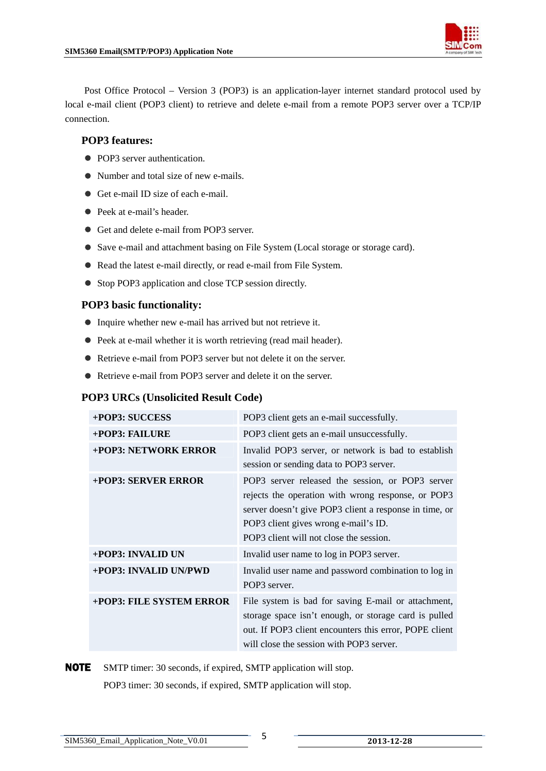

Post Office Protocol – Version 3 (POP3) is an application-layer internet standard protocol used by local e-mail client (POP3 client) to retrieve and delete e-mail from a remote POP3 server over a TCP/IP connection.

#### **POP3 features:**

- POP3 server authentication.
- Number and total size of new e-mails.
- Get e-mail ID size of each e-mail.
- Peek at e-mail's header.
- Get and delete e-mail from POP3 server.
- Save e-mail and attachment basing on File System (Local storage or storage card).
- Read the latest e-mail directly, or read e-mail from File System.
- Stop POP3 application and close TCP session directly.

#### **POP3 basic functionality:**

- $\bullet$  Inquire whether new e-mail has arrived but not retrieve it.
- $\bullet$  Peek at e-mail whether it is worth retrieving (read mail header).
- Retrieve e-mail from POP3 server but not delete it on the server.
- Retrieve e-mail from POP3 server and delete it on the server.

#### **POP3 URCs (Unsolicited Result Code)**

| +POP3: SUCCESS           | POP3 client gets an e-mail successfully.                                                                                                                                                                                                            |
|--------------------------|-----------------------------------------------------------------------------------------------------------------------------------------------------------------------------------------------------------------------------------------------------|
| $+$ POP3: FAILURE        | POP3 client gets an e-mail unsuccessfully.                                                                                                                                                                                                          |
| +POP3: NETWORK ERROR     | Invalid POP3 server, or network is bad to establish<br>session or sending data to POP3 server.                                                                                                                                                      |
| +POP3: SERVER ERROR      | POP3 server released the session, or POP3 server<br>rejects the operation with wrong response, or POP3<br>server doesn't give POP3 client a response in time, or<br>POP3 client gives wrong e-mail's ID.<br>POP3 client will not close the session. |
| +POP3: INVALID UN        | Invalid user name to log in POP3 server.                                                                                                                                                                                                            |
| +POP3: INVALID UN/PWD    | Invalid user name and password combination to log in<br>POP3 server.                                                                                                                                                                                |
| +POP3: FILE SYSTEM ERROR | File system is bad for saving E-mail or attachment,<br>storage space isn't enough, or storage card is pulled<br>out. If POP3 client encounters this error, POPE client<br>will close the session with POP3 server.                                  |

# NOTE SMTP timer: 30 seconds, if expired, SMTP application will stop.

POP3 timer: 30 seconds, if expired, SMTP application will stop.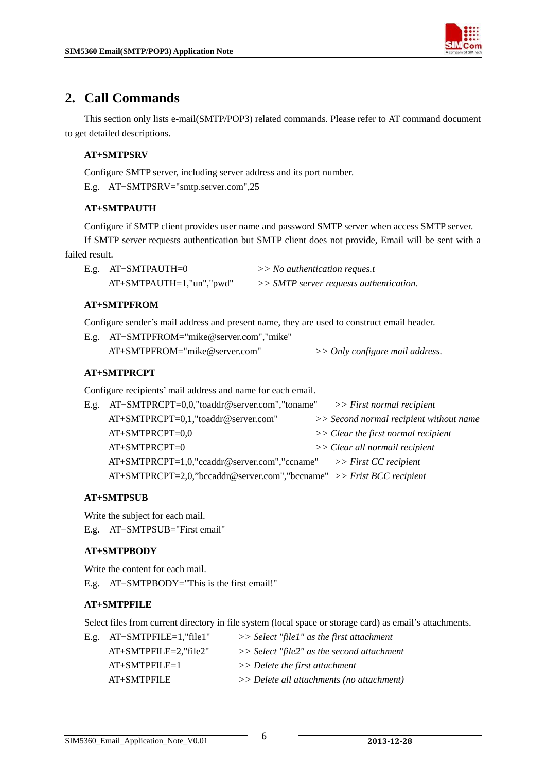

# <span id="page-6-0"></span>**2. Call Commands**

This section only lists e-mail(SMTP/POP3) related commands. Please refer to AT command document to get detailed descriptions.

#### **AT+SMTPSRV**

Configure SMTP server, including server address and its port number.

E.g. AT+SMTPSRV="smtp.server.com",25

#### **AT+SMTPAUTH**

Configure if SMTP client provides user name and password SMTP server when access SMTP server. If SMTP server requests authentication but SMTP client does not provide, Email will be sent with a failed result.

| $E.g.$ $AT+SMTPAUTH=0$      | $>>$ No authentication reques.t           |
|-----------------------------|-------------------------------------------|
| $AT+SMTPAUTH=1,"un", "pwd"$ | $>> SMTP$ server requests authentication. |

#### **AT+SMTPFROM**

Configure sender's mail address and present name, they are used to construct email header.

| E.g. AT+SMTPFROM="mike@server.com","mike" |                                   |
|-------------------------------------------|-----------------------------------|
| $AT+SMTPFROM="mike@server.com"$           | $>>$ Only configure mail address. |

#### **AT+SMTPRCPT**

Configure recipients' mail address and name for each email.

| E.g. AT+SMTPRCPT=0,0,"toaddr@server.com","toname"                        | $>>$ First normal recipient             |
|--------------------------------------------------------------------------|-----------------------------------------|
| AT+SMTPRCPT=0,1,"toaddr@server.com"                                      | >> Second normal recipient without name |
| AT+SMTPRCPT=0,0                                                          | $\gg$ Clear the first normal recipient  |
| $AT+SMTPRCPT=0$                                                          | >> Clear all normail recipient          |
| $AT+SMTPRCPT=1,0$ ,"ccaddr@server.com","ccname">> First CC recipient     |                                         |
| $AT+SMTPRCPT=2,0,$ "bccaddr@server.com","bccname" >> Frist BCC recipient |                                         |
|                                                                          |                                         |

#### **AT+SMTPSUB**

Write the subject for each mail.

E.g. AT+SMTPSUB="First email"

#### **AT+SMTPBODY**

Write the content for each mail.

E.g. AT+SMTPBODY="This is the first email!"

#### **AT+SMTPFILE**

Select files from current directory in file system (local space or storage card) as email's attachments.

|                           | $\gg$ Select "file1" as the first attachment  |
|---------------------------|-----------------------------------------------|
| $AT+SMTPFILE=2$ , "file2" | $\gg$ Select "file2" as the second attachment |
| $AT+SMTPEILE=1$           | $>>$ Delete the first attachment              |
| AT+SMTPFILE               | $\gg$ Delete all attachments (no attachment)  |
|                           | E.g. $AT+SMTPFILE=1$ , "file1"                |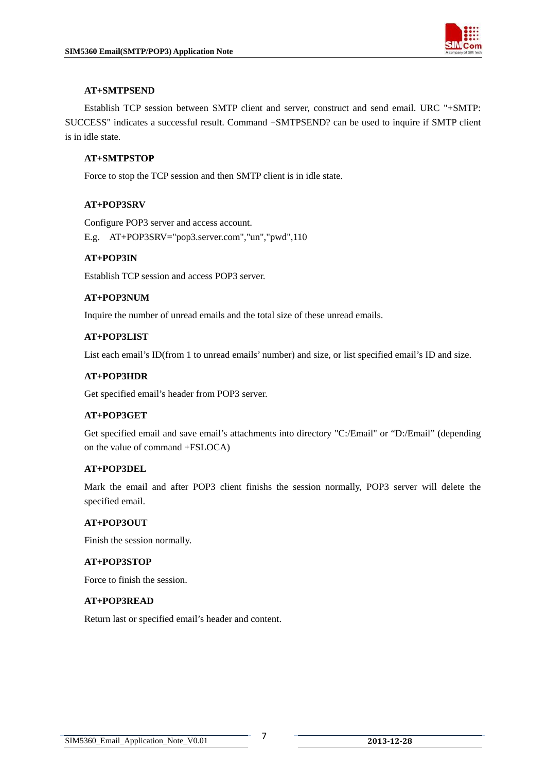

#### **AT+SMTPSEND**

 Establish TCP session between SMTP client and server, construct and send email. URC "+SMTP: SUCCESS" indicates a successful result. Command +SMTPSEND? can be used to inquire if SMTP client is in idle state.

#### **AT+SMTPSTOP**

Force to stop the TCP session and then SMTP client is in idle state.

#### **AT+POP3SRV**

 Configure POP3 server and access account. E.g. AT+POP3SRV="pop3.server.com","un","pwd",110

#### **AT+POP3IN**

Establish TCP session and access POP3 server.

#### **AT+POP3NUM**

Inquire the number of unread emails and the total size of these unread emails.

#### **AT+POP3LIST**

List each email's ID(from 1 to unread emails' number) and size, or list specified email's ID and size.

#### **AT+POP3HDR**

Get specified email's header from POP3 server.

#### **AT+POP3GET**

 Get specified email and save email's attachments into directory "C:/Email" or "D:/Email" (depending on the value of command +FSLOCA)

#### **AT+POP3DEL**

Mark the email and after POP3 client finishs the session normally, POP3 server will delete the specified email.

#### **AT+POP3OUT**

Finish the session normally.

#### **AT+POP3STOP**

Force to finish the session.

#### **AT+POP3READ**

Return last or specified email's header and content.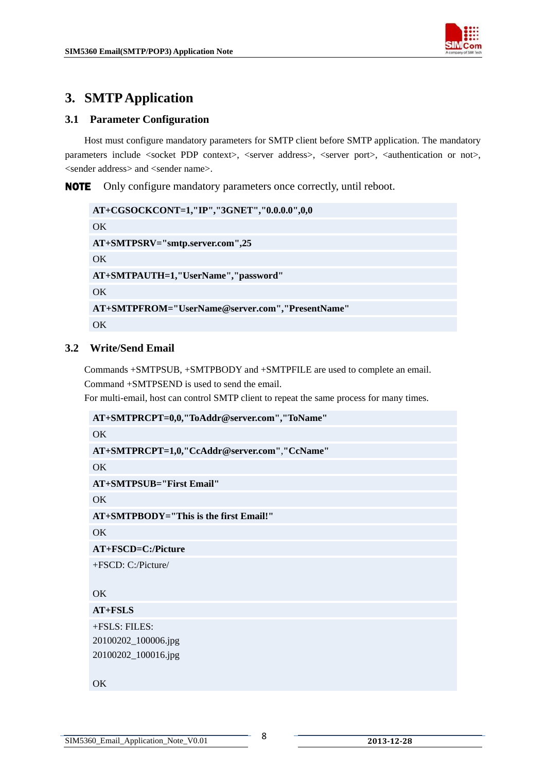# <span id="page-8-0"></span>**3. SMTP Application**

## **3.1 Parameter Configuration**

Host must configure mandatory parameters for SMTP client before SMTP application. The mandatory parameters include <socket PDP context>, <server address>, <server port>, <authentication or not>, <sender address> and <sender name>.

NOTE Only configure mandatory parameters once correctly, until reboot.

```
AT+CGSOCKCONT=1,"IP","3GNET","0.0.0.0",0,0 
OK
AT+SMTPSRV="smtp.server.com",25 
OK 
AT+SMTPAUTH=1,"UserName","password" 
OK
AT+SMTPFROM="UserName@server.com","PresentName" 
OK
```
## **3.2 Write/Send Email**

Commands +SMTPSUB, +SMTPBODY and +SMTPFILE are used to complete an email.

Command +SMTPSEND is used to send the email.

For multi-email, host can control SMTP client to repeat the same process for many times.

| AT+SMTPRCPT=0,0,"ToAddr@server.com","ToName" |
|----------------------------------------------|
| OK                                           |
| AT+SMTPRCPT=1,0,"CcAddr@server.com","CcName" |
| OK                                           |
| <b>AT+SMTPSUB="First Email"</b>              |
| OK.                                          |
| $AT+SMTPBODY=$ "This is the first Email!"    |
| OK.                                          |
| AT+FSCD=C:/Picture                           |
| $+FSCD: C'/Picture/$                         |
|                                              |
| OK                                           |
| $AT + FSLS$                                  |
| +FSLS: FILES:                                |
| 20100202_100006.jpg                          |
| 20100202_100016.jpg                          |
|                                              |
| OK                                           |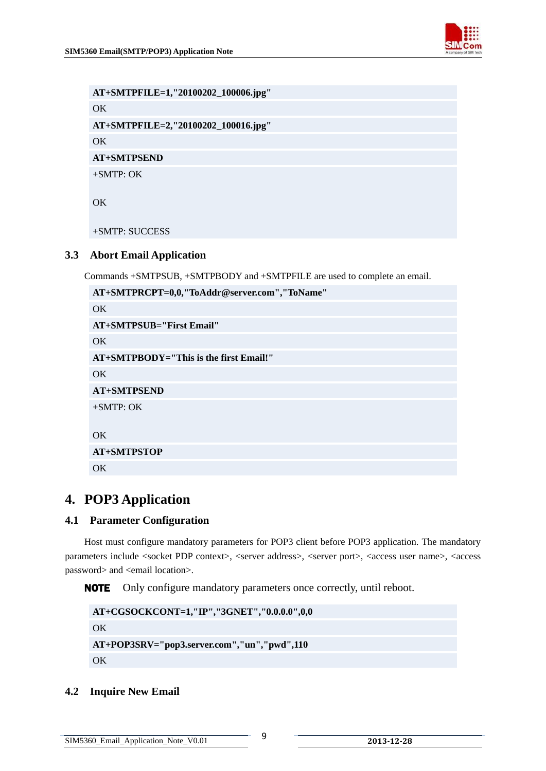

<span id="page-9-0"></span>**AT+SMTPFILE=1,"20100202\_100006.jpg" OK AT+SMTPFILE=2,"20100202\_100016.jpg" OK AT+SMTPSEND**  +SMTP: OK

OK

+SMTP: SUCCESS

#### **3.3 Abort Email Application**

Commands +SMTPSUB, +SMTPBODY and +SMTPFILE are used to complete an email.

| AT+SMTPRCPT=0,0,"ToAddr@server.com","ToName" |
|----------------------------------------------|
| OK.                                          |
| <b>AT+SMTPSUB="First Email"</b>              |
| OK.                                          |
| $AT+SMTPBODY=$ "This is the first Email!"    |
| OK.                                          |
| <b>AT+SMTPSEND</b>                           |
| $+SMTP:OK$                                   |
|                                              |
| OK                                           |
| <b>AT+SMTPSTOP</b>                           |
| OK                                           |

## **4. POP3 Application**

#### **4.1 Parameter Configuration**

Host must configure mandatory parameters for POP3 client before POP3 application. The mandatory parameters include <socket PDP context>, <server address>, <server port>, <access user name>, <access password> and <email location>.

NOTE Only configure mandatory parameters once correctly, until reboot.

```
AT+CGSOCKCONT=1,"IP","3GNET","0.0.0.0",0,0 
OK 
AT+POP3SRV="pop3.server.com","un","pwd",110 
OK
```
#### **4.2 Inquire New Email**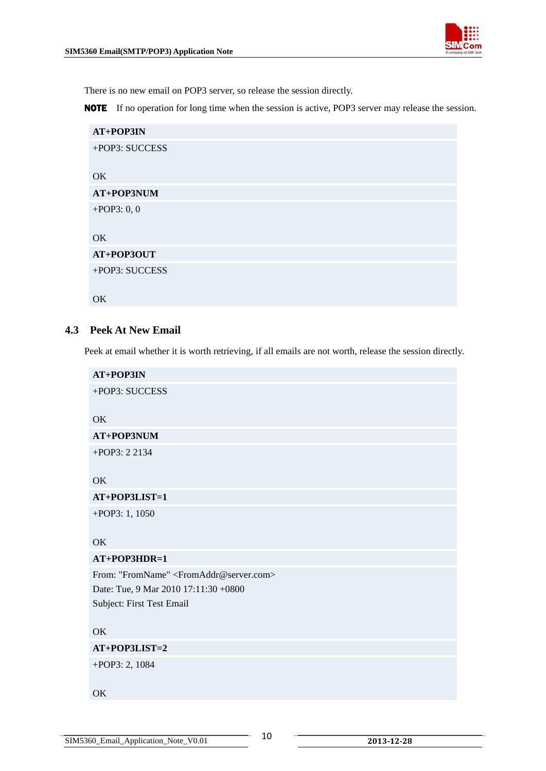

<span id="page-10-0"></span>There is no new email on POP3 server, so release the session directly.

NOTE If no operation for long time when the session is active, POP3 server may release the session.

| AT+POP3IN      |
|----------------|
| +POP3: SUCCESS |
|                |
| OK             |
| AT+POP3NUM     |
| +POP3: $0, 0$  |
|                |
| OK             |
| AT+POP3OUT     |
| +POP3: SUCCESS |
|                |
| OK             |

#### **4.3 Peek At New Email**

Peek at email whether it is worth retrieving, if all emails are not worth, release the session directly.

| AT+POP3IN                                                    |
|--------------------------------------------------------------|
| +POP3: SUCCESS                                               |
| <b>OK</b>                                                    |
| AT+POP3NUM                                                   |
| +POP3: 2 2134                                                |
| OK                                                           |
| AT+POP3LIST=1                                                |
| +POP3: 1, 1050                                               |
| OK                                                           |
| AT+POP3HDR=1                                                 |
| From: "FromName" <fromaddr@server.com></fromaddr@server.com> |
| Date: Tue, 9 Mar 2010 17:11:30 +0800                         |
| Subject: First Test Email                                    |
|                                                              |
| OK                                                           |
| AT+POP3LIST=2                                                |
| +POP3: 2, 1084                                               |
| OK                                                           |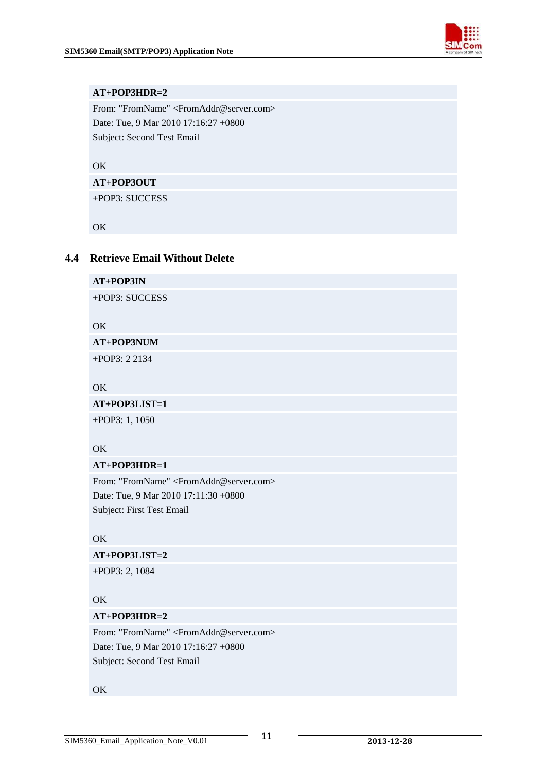

#### <span id="page-11-0"></span>**AT+POP3HDR=2**

From: "FromName" <FromAddr@server.com> Date: Tue, 9 Mar 2010 17:16:27 +0800 Subject: Second Test Email

OK

#### **AT+POP3OUT**

+POP3: SUCCESS

OK

#### **4.4 Retrieve Email Without Delete**

**AT+POP3IN**  +POP3: SUCCESS OK **AT+POP3NUM** +POP3: 2 2134 OK **AT+POP3LIST=1**  +POP3: 1, 1050 OK **AT+POP3HDR=1**  From: "FromName" <FromAddr@server.com> Date: Tue, 9 Mar 2010 17:11:30 +0800 Subject: First Test Email OK **AT+POP3LIST=2**  +POP3: 2, 1084

#### OK

#### **AT+POP3HDR=2**

From: "FromName" <FromAddr@server.com> Date: Tue, 9 Mar 2010 17:16:27 +0800 Subject: Second Test Email

#### **OK**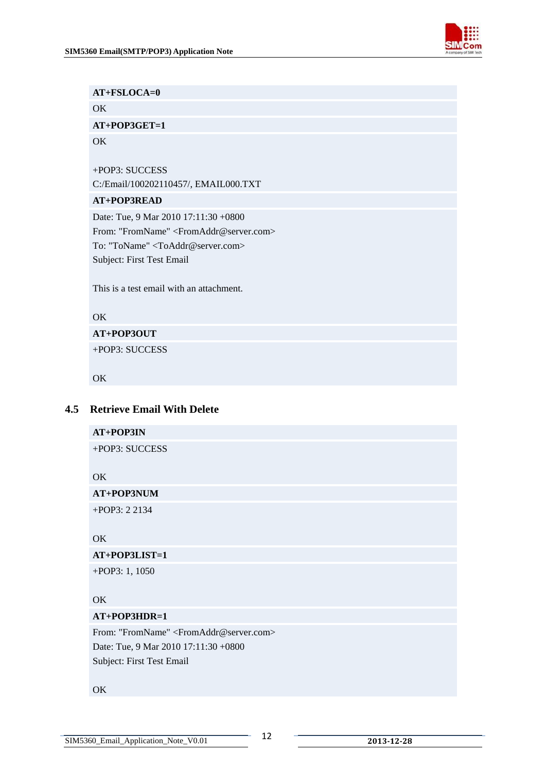

<span id="page-12-0"></span>

| $AT + FSLOCA = 0$                                            |
|--------------------------------------------------------------|
| OK                                                           |
| $AT+POP3GET=1$                                               |
| OK                                                           |
|                                                              |
| +POP3: SUCCESS                                               |
| C:/Email/100202110457/, EMAIL000.TXT                         |
| AT+POP3READ                                                  |
| Date: Tue, 9 Mar 2010 17:11:30 +0800                         |
| From: "FromName" <fromaddr@server.com></fromaddr@server.com> |
| To: "ToName" <toaddr@server.com></toaddr@server.com>         |
| Subject: First Test Email                                    |
|                                                              |
| This is a test email with an attachment.                     |
|                                                              |
| OK                                                           |
| AT+POP3OUT                                                   |
| +POP3: SUCCESS                                               |
|                                                              |
| OK.                                                          |

### **4.5 Retrieve Email With Delete**

| AT+POP3IN                                                    |
|--------------------------------------------------------------|
| +POP3: SUCCESS                                               |
| OK                                                           |
| AT+POP3NUM                                                   |
| +POP3: 2 2134                                                |
| OK                                                           |
| AT+POP3LIST=1                                                |
| $+$ POP3: 1, 1050                                            |
| OK                                                           |
| AT+POP3HDR=1                                                 |
| From: "FromName" <fromaddr@server.com></fromaddr@server.com> |
| Date: Tue, 9 Mar 2010 17:11:30 +0800                         |
| Subject: First Test Email                                    |
| OK                                                           |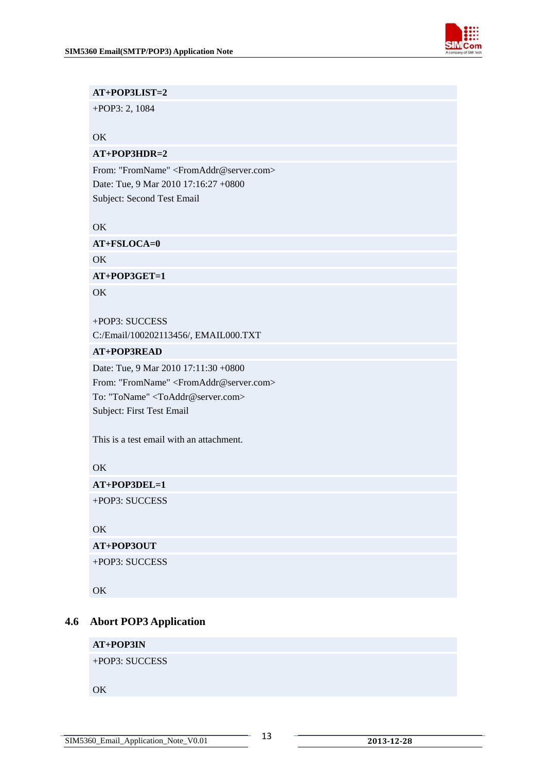

#### <span id="page-13-0"></span>**AT+POP3LIST=2**

+POP3: 2, 1084

#### OK

#### **AT+POP3HDR=2**

From: "FromName" <FromAddr@server.com> Date: Tue, 9 Mar 2010 17:16:27 +0800 Subject: Second Test Email

OK

**AT+FSLOCA=0** 

OK

**AT+POP3GET=1** 

**OK** 

+POP3: SUCCESS C:/Email/100202113456/, EMAIL000.TXT

#### **AT+POP3READ**

Date: Tue, 9 Mar 2010 17:11:30 +0800 From: "FromName" <FromAddr@server.com> To: "ToName" <ToAddr@server.com> Subject: First Test Email

This is a test email with an attachment.

#### OK

**AT+POP3DEL=1**  +POP3: SUCCESS

OK

**AT+POP3OUT** 

+POP3: SUCCESS

OK

#### **4.6 Abort POP3 Application**

#### **AT+POP3IN**

+POP3: SUCCESS

OK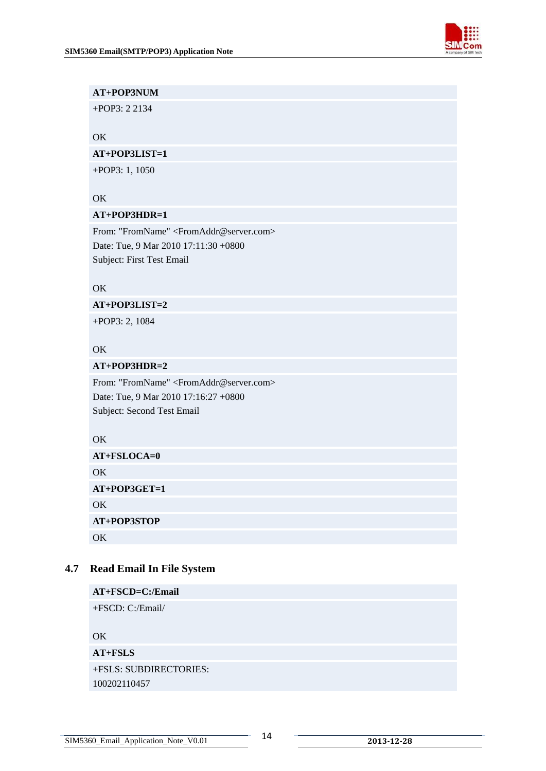

#### <span id="page-14-0"></span>**AT+POP3NUM**

+POP3: 2 2134

#### OK

#### **AT+POP3LIST=1**

+POP3: 1, 1050

#### OK

#### **AT+POP3HDR=1**

From: "FromName" <FromAddr@server.com> Date: Tue, 9 Mar 2010 17:11:30 +0800 Subject: First Test Email

#### OK

#### **AT+POP3LIST=2**

+POP3: 2, 1084

#### OK

#### **AT+POP3HDR=2**

From: "FromName" <FromAddr@server.com> Date: Tue, 9 Mar 2010 17:16:27 +0800 Subject: Second Test Email

#### OK

| $AT+FSLOCA=0$  |  |
|----------------|--|
| OK             |  |
| $AT+POP3GET=1$ |  |
| OK.            |  |
| AT+POP3STOP    |  |
| $\alpha$       |  |

#### **4.7 Read Email In File System**

| AT+FSCD=C:/Email       |
|------------------------|
| $+FSCD: C'/Email/$     |
|                        |
| OK.                    |
| $AT + FSLS$            |
| +FSLS: SUBDIRECTORIES: |
| 100202110457           |
|                        |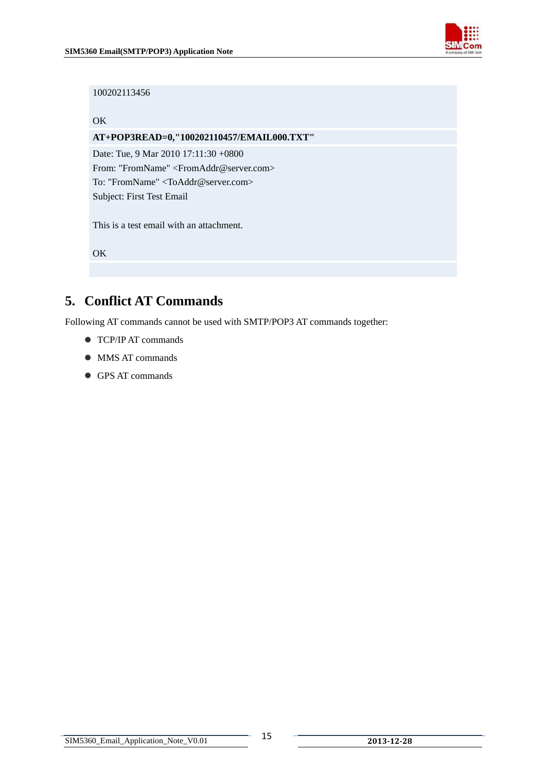

#### <span id="page-15-0"></span>100202113456

#### OK

#### **AT+POP3READ=0,"100202110457/EMAIL000.TXT"**

Date: Tue, 9 Mar 2010 17:11:30 +0800 From: "FromName" <FromAddr@server.com> To: "FromName" <ToAddr@server.com> Subject: First Test Email

This is a test email with an attachment.

OK

# **5. Conflict AT Commands**

Following AT commands cannot be used with SMTP/POP3 AT commands together:

- **TCP/IP AT commands**
- $\bullet$  MMS AT commands
- GPS AT commands